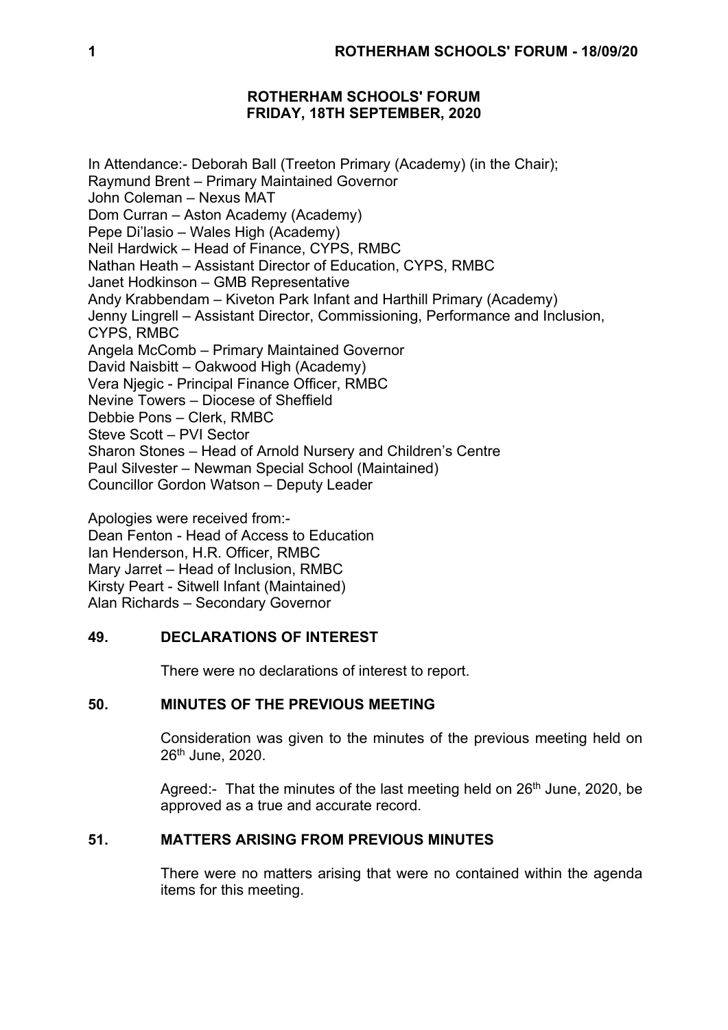## **ROTHERHAM SCHOOLS' FORUM FRIDAY, 18TH SEPTEMBER, 2020**

In Attendance:- Deborah Ball (Treeton Primary (Academy) (in the Chair); Raymund Brent – Primary Maintained Governor John Coleman – Nexus MAT Dom Curran – Aston Academy (Academy) Pepe Di'lasio – Wales High (Academy) Neil Hardwick – Head of Finance, CYPS, RMBC Nathan Heath – Assistant Director of Education, CYPS, RMBC Janet Hodkinson – GMB Representative Andy Krabbendam – Kiveton Park Infant and Harthill Primary (Academy) Jenny Lingrell – Assistant Director, Commissioning, Performance and Inclusion, CYPS, RMBC Angela McComb – Primary Maintained Governor David Naisbitt – Oakwood High (Academy) Vera Njegic - Principal Finance Officer, RMBC Nevine Towers – Diocese of Sheffield Debbie Pons – Clerk, RMBC Steve Scott – PVI Sector Sharon Stones – Head of Arnold Nursery and Children's Centre Paul Silvester – Newman Special School (Maintained) Councillor Gordon Watson – Deputy Leader

Apologies were received from:- Dean Fenton - Head of Access to Education Ian Henderson, H.R. Officer, RMBC Mary Jarret – Head of Inclusion, RMBC Kirsty Peart - Sitwell Infant (Maintained) Alan Richards – Secondary Governor

# **49. DECLARATIONS OF INTEREST**

There were no declarations of interest to report.

## **50. MINUTES OF THE PREVIOUS MEETING**

Consideration was given to the minutes of the previous meeting held on 26th June, 2020.

Agreed:- That the minutes of the last meeting held on  $26<sup>th</sup>$  June, 2020, be approved as a true and accurate record.

## **51. MATTERS ARISING FROM PREVIOUS MINUTES**

There were no matters arising that were no contained within the agenda items for this meeting.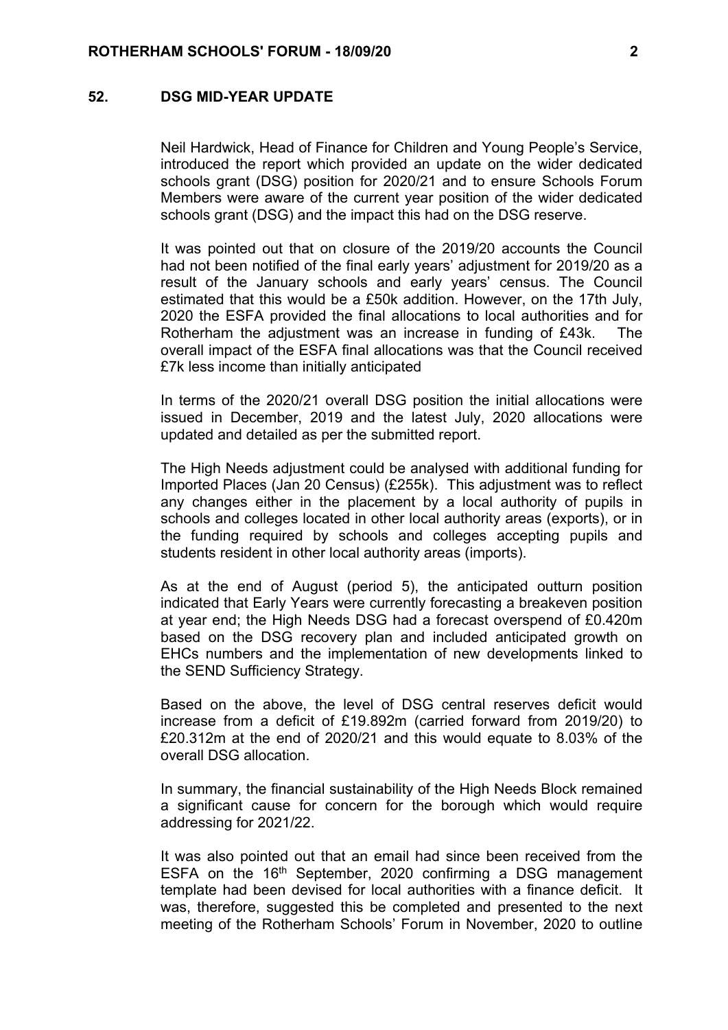### **52. DSG MID-YEAR UPDATE**

Neil Hardwick, Head of Finance for Children and Young People's Service, introduced the report which provided an update on the wider dedicated schools grant (DSG) position for 2020/21 and to ensure Schools Forum Members were aware of the current year position of the wider dedicated schools grant (DSG) and the impact this had on the DSG reserve.

It was pointed out that on closure of the 2019/20 accounts the Council had not been notified of the final early years' adjustment for 2019/20 as a result of the January schools and early years' census. The Council estimated that this would be a £50k addition. However, on the 17th July, 2020 the ESFA provided the final allocations to local authorities and for Rotherham the adjustment was an increase in funding of £43k. The overall impact of the ESFA final allocations was that the Council received £7k less income than initially anticipated

In terms of the 2020/21 overall DSG position the initial allocations were issued in December, 2019 and the latest July, 2020 allocations were updated and detailed as per the submitted report.

The High Needs adjustment could be analysed with additional funding for Imported Places (Jan 20 Census) (£255k). This adjustment was to reflect any changes either in the placement by a local authority of pupils in schools and colleges located in other local authority areas (exports), or in the funding required by schools and colleges accepting pupils and students resident in other local authority areas (imports).

As at the end of August (period 5), the anticipated outturn position indicated that Early Years were currently forecasting a breakeven position at year end; the High Needs DSG had a forecast overspend of £0.420m based on the DSG recovery plan and included anticipated growth on EHCs numbers and the implementation of new developments linked to the SEND Sufficiency Strategy.

Based on the above, the level of DSG central reserves deficit would increase from a deficit of £19.892m (carried forward from 2019/20) to £20.312m at the end of 2020/21 and this would equate to 8.03% of the overall DSG allocation.

In summary, the financial sustainability of the High Needs Block remained a significant cause for concern for the borough which would require addressing for 2021/22.

It was also pointed out that an email had since been received from the ESFA on the 16<sup>th</sup> September, 2020 confirming a DSG management template had been devised for local authorities with a finance deficit. It was, therefore, suggested this be completed and presented to the next meeting of the Rotherham Schools' Forum in November, 2020 to outline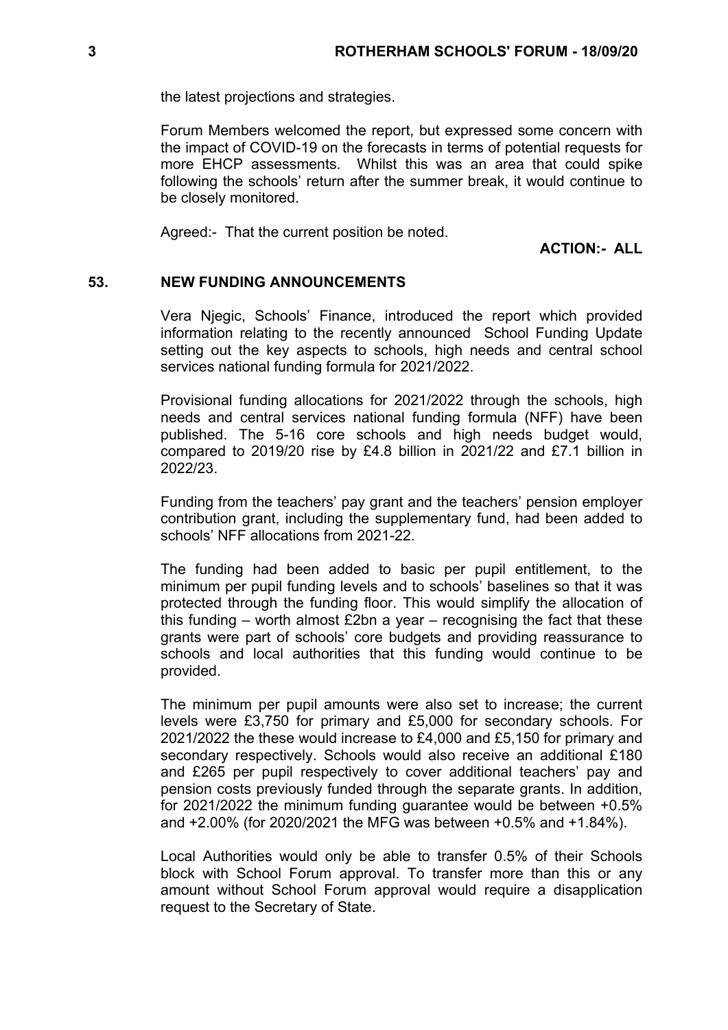the latest projections and strategies.

Forum Members welcomed the report, but expressed some concern with the impact of COVID-19 on the forecasts in terms of potential requests for more EHCP assessments. Whilst this was an area that could spike following the schools' return after the summer break, it would continue to be closely monitored.

Agreed:- That the current position be noted.

**ACTION:- ALL**

### **53. NEW FUNDING ANNOUNCEMENTS**

Vera Njegic, Schools' Finance, introduced the report which provided information relating to the recently announced School Funding Update setting out the key aspects to schools, high needs and central school services national funding formula for 2021/2022.

Provisional funding allocations for 2021/2022 through the schools, high needs and central services national funding formula (NFF) have been published. The 5-16 core schools and high needs budget would, compared to 2019/20 rise by £4.8 billion in 2021/22 and £7.1 billion in 2022/23.

Funding from the teachers' pay grant and the teachers' pension employer contribution grant, including the supplementary fund, had been added to schools' NFF allocations from 2021-22.

The funding had been added to basic per pupil entitlement, to the minimum per pupil funding levels and to schools' baselines so that it was protected through the funding floor. This would simplify the allocation of this funding – worth almost £2bn a year – recognising the fact that these grants were part of schools' core budgets and providing reassurance to schools and local authorities that this funding would continue to be provided.

The minimum per pupil amounts were also set to increase; the current levels were £3,750 for primary and £5,000 for secondary schools. For 2021/2022 the these would increase to £4,000 and £5,150 for primary and secondary respectively. Schools would also receive an additional £180 and £265 per pupil respectively to cover additional teachers' pay and pension costs previously funded through the separate grants. In addition, for 2021/2022 the minimum funding guarantee would be between +0.5% and +2.00% (for 2020/2021 the MFG was between +0.5% and +1.84%).

Local Authorities would only be able to transfer 0.5% of their Schools block with School Forum approval. To transfer more than this or any amount without School Forum approval would require a disapplication request to the Secretary of State.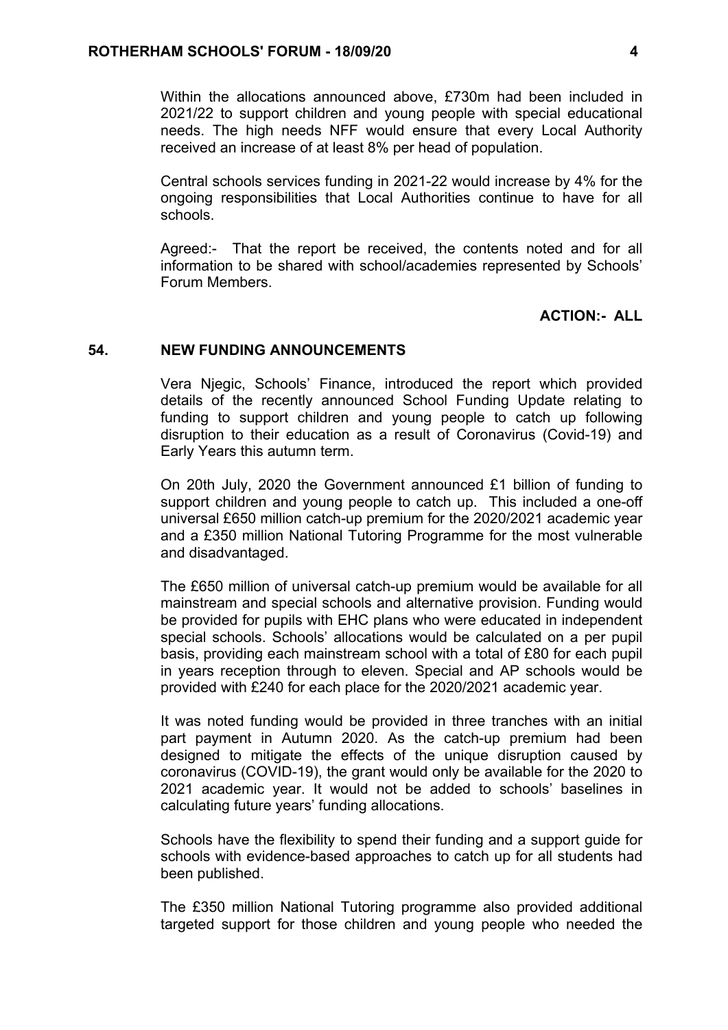Within the allocations announced above, £730m had been included in 2021/22 to support children and young people with special educational needs. The high needs NFF would ensure that every Local Authority received an increase of at least 8% per head of population.

Central schools services funding in 2021-22 would increase by 4% for the ongoing responsibilities that Local Authorities continue to have for all schools.

Agreed:- That the report be received, the contents noted and for all information to be shared with school/academies represented by Schools' Forum Members.

### **ACTION:- ALL**

#### **54. NEW FUNDING ANNOUNCEMENTS**

Vera Njegic, Schools' Finance, introduced the report which provided details of the recently announced School Funding Update relating to funding to support children and young people to catch up following disruption to their education as a result of Coronavirus (Covid-19) and Early Years this autumn term.

On 20th July, 2020 the Government announced £1 billion of funding to support children and young people to catch up. This included a one-off universal £650 million catch-up premium for the 2020/2021 academic year and a £350 million National Tutoring Programme for the most vulnerable and disadvantaged.

The £650 million of universal catch-up premium would be available for all mainstream and special schools and alternative provision. Funding would be provided for pupils with EHC plans who were educated in independent special schools. Schools' allocations would be calculated on a per pupil basis, providing each mainstream school with a total of £80 for each pupil in years reception through to eleven. Special and AP schools would be provided with £240 for each place for the 2020/2021 academic year.

It was noted funding would be provided in three tranches with an initial part payment in Autumn 2020. As the catch-up premium had been designed to mitigate the effects of the unique disruption caused by coronavirus (COVID-19), the grant would only be available for the 2020 to 2021 academic year. It would not be added to schools' baselines in calculating future years' funding allocations.

Schools have the flexibility to spend their funding and a support guide for schools with evidence-based approaches to catch up for all students had been published.

The £350 million National Tutoring programme also provided additional targeted support for those children and young people who needed the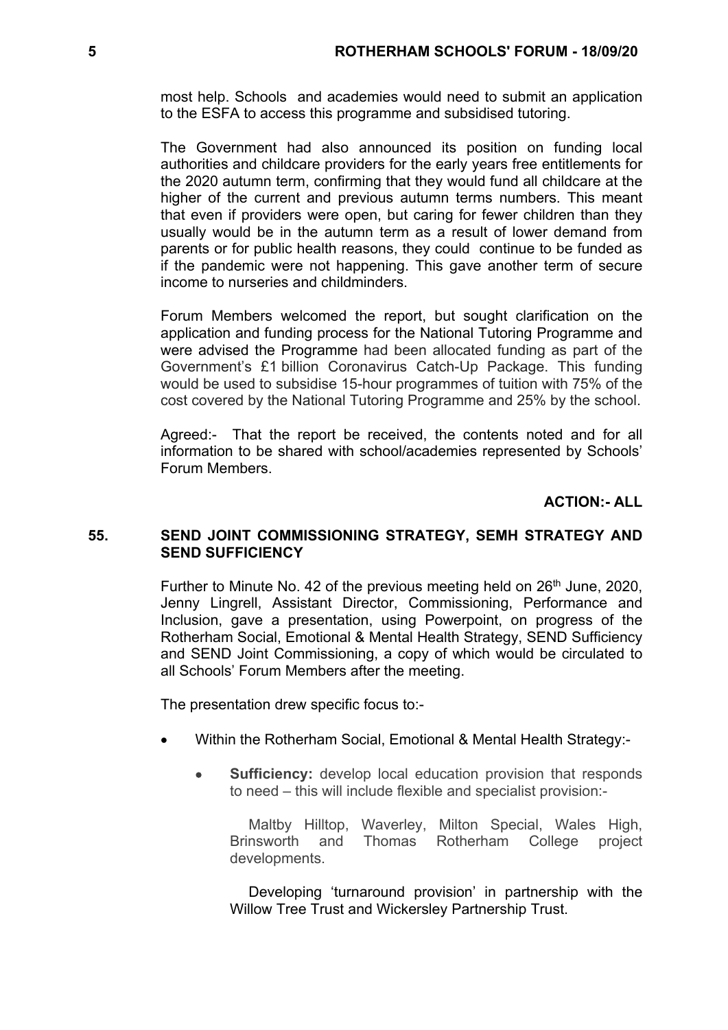most help. Schools and academies would need to submit an application to the ESFA to access this programme and subsidised tutoring.

The Government had also announced its position on funding local authorities and childcare providers for the early years free entitlements for the 2020 autumn term, confirming that they would fund all childcare at the higher of the current and previous autumn terms numbers. This meant that even if providers were open, but caring for fewer children than they usually would be in the autumn term as a result of lower demand from parents or for public health reasons, they could continue to be funded as if the pandemic were not happening. This gave another term of secure income to nurseries and childminders.

Forum Members welcomed the report, but sought clarification on the application and funding process for the National Tutoring Programme and were advised the Programme had been allocated funding as part of the Government's £1 billion Coronavirus Catch-Up Package. This funding would be used to subsidise 15-hour programmes of tuition with 75% of the cost covered by the National Tutoring Programme and 25% by the school.

Agreed:- That the report be received, the contents noted and for all information to be shared with school/academies represented by Schools' Forum Members.

**ACTION:- ALL**

### **55. SEND JOINT COMMISSIONING STRATEGY, SEMH STRATEGY AND SEND SUFFICIENCY**

Further to Minute No. 42 of the previous meeting held on 26<sup>th</sup> June, 2020, Jenny Lingrell, Assistant Director, Commissioning, Performance and Inclusion, gave a presentation, using Powerpoint, on progress of the Rotherham Social, Emotional & Mental Health Strategy, SEND Sufficiency and SEND Joint Commissioning, a copy of which would be circulated to all Schools' Forum Members after the meeting.

The presentation drew specific focus to:-

- Within the Rotherham Social, Emotional & Mental Health Strategy:-
	- **Sufficiency:** develop local education provision that responds to need – this will include flexible and specialist provision:-

Maltby Hilltop, Waverley, Milton Special, Wales High, Brinsworth and Thomas Rotherham College project developments.

Developing 'turnaround provision' in partnership with the Willow Tree Trust and Wickersley Partnership Trust.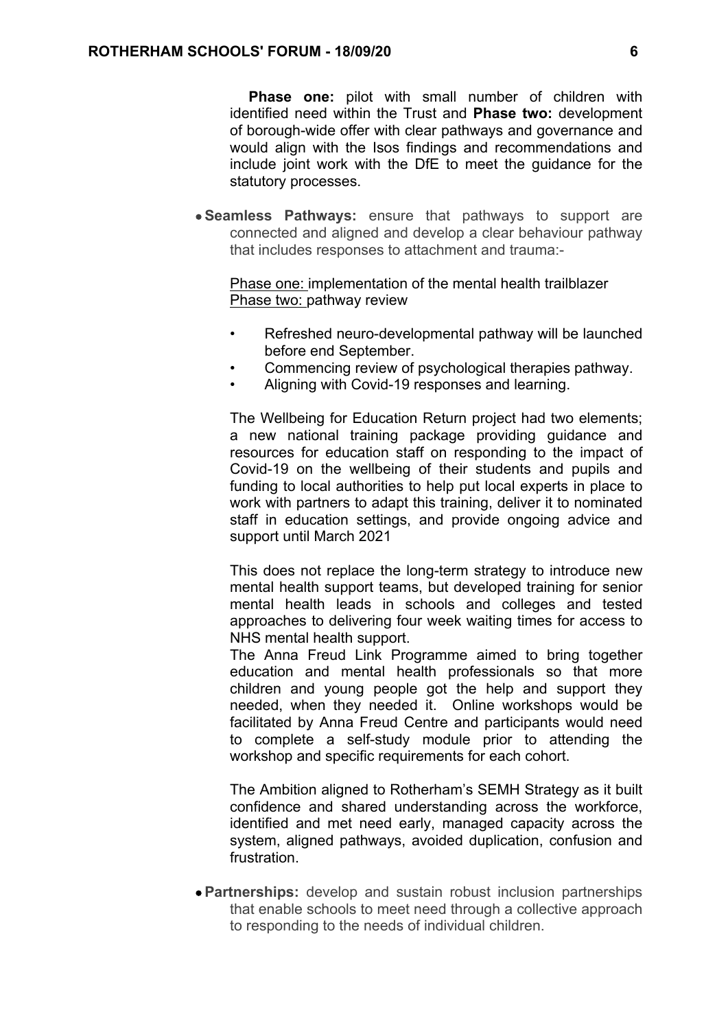**Phase one:** pilot with small number of children with identified need within the Trust and **Phase two:** development of borough-wide offer with clear pathways and governance and would align with the Isos findings and recommendations and include joint work with the DfE to meet the guidance for the statutory processes.

 **Seamless Pathways:** ensure that pathways to support are connected and aligned and develop a clear behaviour pathway that includes responses to attachment and trauma:-

Phase one: implementation of the mental health trailblazer Phase two: pathway review

- Refreshed neuro-developmental pathway will be launched before end September.
- Commencing review of psychological therapies pathway.
- Aligning with Covid-19 responses and learning.

The Wellbeing for Education Return project had two elements; a new national training package providing guidance and resources for education staff on responding to the impact of Covid-19 on the wellbeing of their students and pupils and funding to local authorities to help put local experts in place to work with partners to adapt this training, deliver it to nominated staff in education settings, and provide ongoing advice and support until March 2021

This does not replace the long-term strategy to introduce new mental health support teams, but developed training for senior mental health leads in schools and colleges and tested approaches to delivering four week waiting times for access to NHS mental health support.

The Anna Freud Link Programme aimed to bring together education and mental health professionals so that more children and young people got the help and support they needed, when they needed it. Online workshops would be facilitated by Anna Freud Centre and participants would need to complete a self-study module prior to attending the workshop and specific requirements for each cohort.

The Ambition aligned to Rotherham's SEMH Strategy as it built confidence and shared understanding across the workforce, identified and met need early, managed capacity across the system, aligned pathways, avoided duplication, confusion and frustration.

 **Partnerships:** develop and sustain robust inclusion partnerships that enable schools to meet need through a collective approach to responding to the needs of individual children.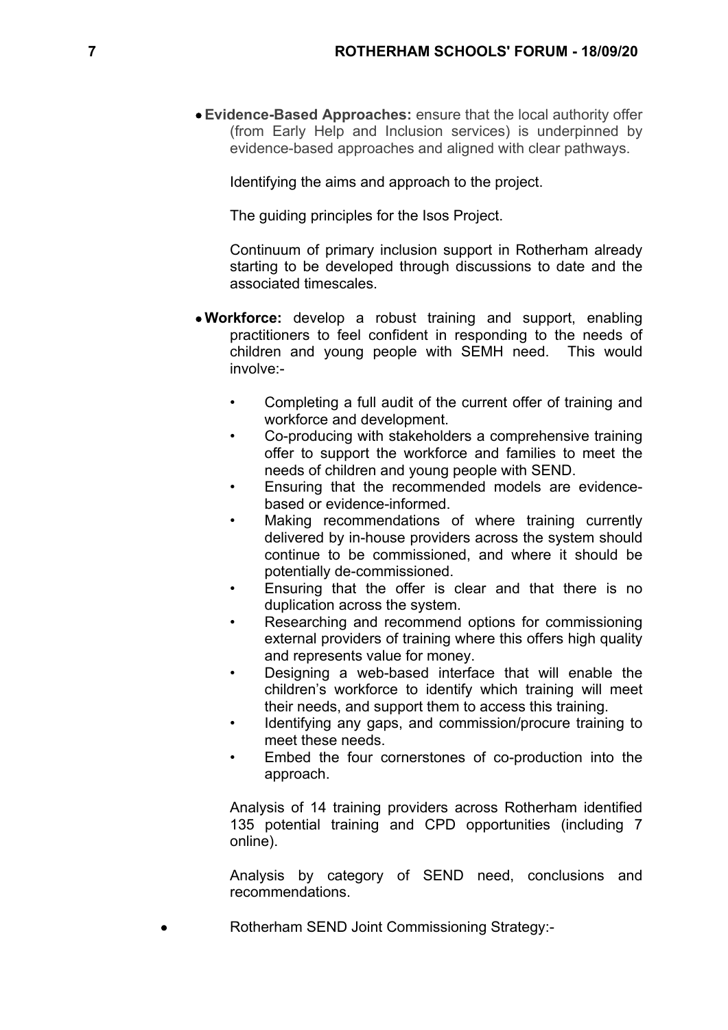**Evidence-Based Approaches:** ensure that the local authority offer (from Early Help and Inclusion services) is underpinned by evidence-based approaches and aligned with clear pathways.

Identifying the aims and approach to the project.

The guiding principles for the Isos Project.

Continuum of primary inclusion support in Rotherham already starting to be developed through discussions to date and the associated timescales.

- **Workforce:** develop a robust training and support, enabling practitioners to feel confident in responding to the needs of children and young people with SEMH need. This would involve:-
	- Completing a full audit of the current offer of training and workforce and development.
	- Co-producing with stakeholders a comprehensive training offer to support the workforce and families to meet the needs of children and young people with SEND.
	- Ensuring that the recommended models are evidencebased or evidence-informed.
	- Making recommendations of where training currently delivered by in-house providers across the system should continue to be commissioned, and where it should be potentially de-commissioned.
	- Ensuring that the offer is clear and that there is no duplication across the system.
	- Researching and recommend options for commissioning external providers of training where this offers high quality and represents value for money.
	- Designing a web-based interface that will enable the children's workforce to identify which training will meet their needs, and support them to access this training.
	- Identifying any gaps, and commission/procure training to meet these needs.
	- Embed the four cornerstones of co-production into the approach.

Analysis of 14 training providers across Rotherham identified 135 potential training and CPD opportunities (including 7 online).

Analysis by category of SEND need, conclusions and recommendations.

Rotherham SEND Joint Commissioning Strategy:-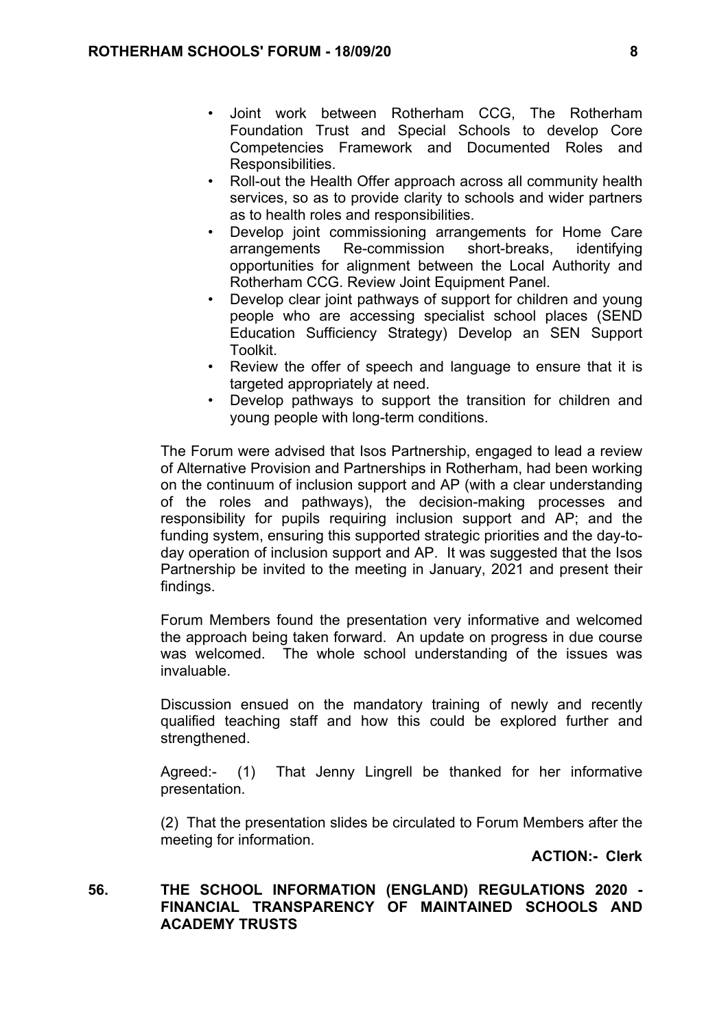- Joint work between Rotherham CCG, The Rotherham Foundation Trust and Special Schools to develop Core Competencies Framework and Documented Roles and Responsibilities.
- Roll-out the Health Offer approach across all community health services, so as to provide clarity to schools and wider partners as to health roles and responsibilities.
- Develop joint commissioning arrangements for Home Care arrangements Re-commission short-breaks, identifying opportunities for alignment between the Local Authority and Rotherham CCG. Review Joint Equipment Panel.
- Develop clear joint pathways of support for children and young people who are accessing specialist school places (SEND Education Sufficiency Strategy) Develop an SEN Support Toolkit.
- Review the offer of speech and language to ensure that it is targeted appropriately at need.
- Develop pathways to support the transition for children and young people with long-term conditions.

The Forum were advised that Isos Partnership, engaged to lead a review of Alternative Provision and Partnerships in Rotherham, had been working on the continuum of inclusion support and AP (with a clear understanding of the roles and pathways), the decision-making processes and responsibility for pupils requiring inclusion support and AP; and the funding system, ensuring this supported strategic priorities and the day-today operation of inclusion support and AP. It was suggested that the Isos Partnership be invited to the meeting in January, 2021 and present their findings.

Forum Members found the presentation very informative and welcomed the approach being taken forward. An update on progress in due course was welcomed. The whole school understanding of the issues was invaluable.

Discussion ensued on the mandatory training of newly and recently qualified teaching staff and how this could be explored further and strengthened.

Agreed:- (1) That Jenny Lingrell be thanked for her informative presentation.

(2) That the presentation slides be circulated to Forum Members after the meeting for information.

**ACTION:- Clerk**

## **56. THE SCHOOL INFORMATION (ENGLAND) REGULATIONS 2020 - FINANCIAL TRANSPARENCY OF MAINTAINED SCHOOLS AND ACADEMY TRUSTS**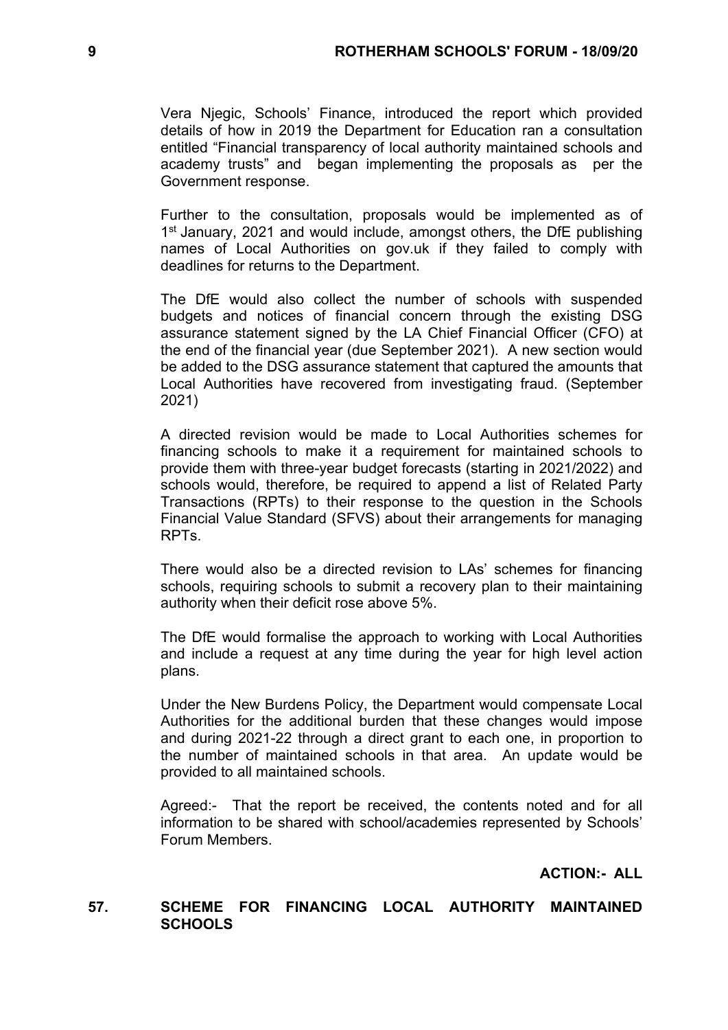Vera Njegic, Schools' Finance, introduced the report which provided details of how in 2019 the Department for Education ran a consultation entitled "Financial transparency of local authority maintained schools and academy trusts" and began implementing the proposals as per the Government response.

Further to the consultation, proposals would be implemented as of 1<sup>st</sup> January, 2021 and would include, amongst others, the DfE publishing names of Local Authorities on gov.uk if they failed to comply with deadlines for returns to the Department.

The DfE would also collect the number of schools with suspended budgets and notices of financial concern through the existing DSG assurance statement signed by the LA Chief Financial Officer (CFO) at the end of the financial year (due September 2021). A new section would be added to the DSG assurance statement that captured the amounts that Local Authorities have recovered from investigating fraud. (September 2021)

A directed revision would be made to Local Authorities schemes for financing schools to make it a requirement for maintained schools to provide them with three-year budget forecasts (starting in 2021/2022) and schools would, therefore, be required to append a list of Related Party Transactions (RPTs) to their response to the question in the Schools Financial Value Standard (SFVS) about their arrangements for managing RPTs.

There would also be a directed revision to LAs' schemes for financing schools, requiring schools to submit a recovery plan to their maintaining authority when their deficit rose above 5%.

The DfE would formalise the approach to working with Local Authorities and include a request at any time during the year for high level action plans.

Under the New Burdens Policy, the Department would compensate Local Authorities for the additional burden that these changes would impose and during 2021-22 through a direct grant to each one, in proportion to the number of maintained schools in that area. An update would be provided to all maintained schools.

Agreed:- That the report be received, the contents noted and for all information to be shared with school/academies represented by Schools' Forum Members.

**ACTION:- ALL**

### **57. SCHEME FOR FINANCING LOCAL AUTHORITY MAINTAINED SCHOOLS**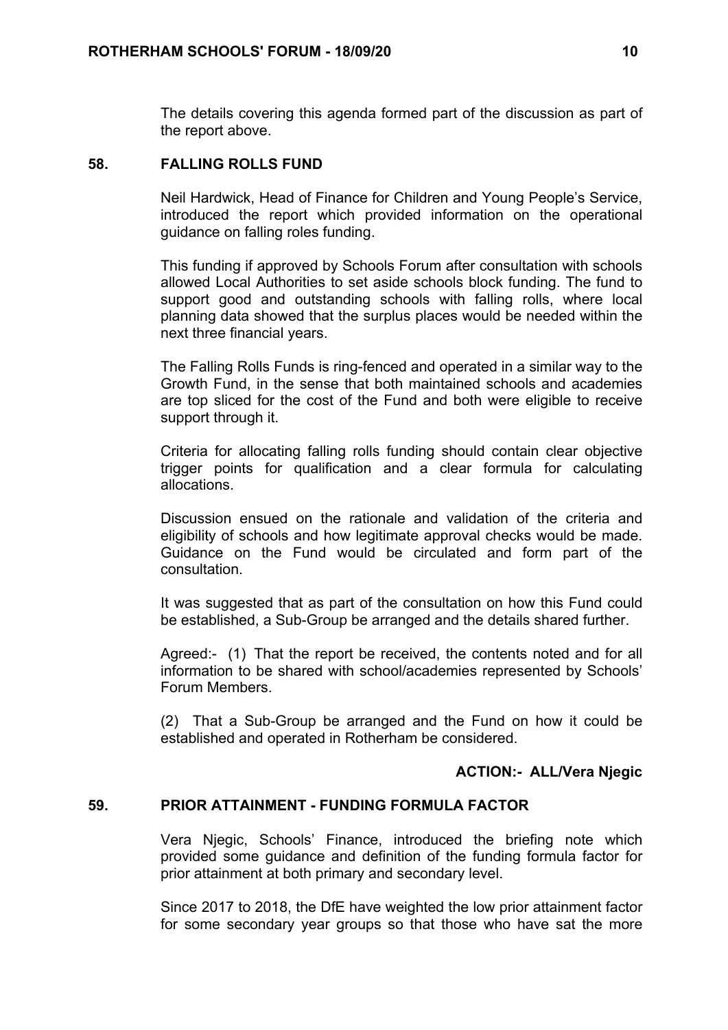The details covering this agenda formed part of the discussion as part of the report above.

### **58. FALLING ROLLS FUND**

Neil Hardwick, Head of Finance for Children and Young People's Service, introduced the report which provided information on the operational guidance on falling roles funding.

This funding if approved by Schools Forum after consultation with schools allowed Local Authorities to set aside schools block funding. The fund to support good and outstanding schools with falling rolls, where local planning data showed that the surplus places would be needed within the next three financial years.

The Falling Rolls Funds is ring-fenced and operated in a similar way to the Growth Fund, in the sense that both maintained schools and academies are top sliced for the cost of the Fund and both were eligible to receive support through it.

Criteria for allocating falling rolls funding should contain clear objective trigger points for qualification and a clear formula for calculating allocations.

Discussion ensued on the rationale and validation of the criteria and eligibility of schools and how legitimate approval checks would be made. Guidance on the Fund would be circulated and form part of the consultation.

It was suggested that as part of the consultation on how this Fund could be established, a Sub-Group be arranged and the details shared further.

Agreed:- (1) That the report be received, the contents noted and for all information to be shared with school/academies represented by Schools' Forum Members.

(2) That a Sub-Group be arranged and the Fund on how it could be established and operated in Rotherham be considered.

### **ACTION:- ALL/Vera Njegic**

#### **59. PRIOR ATTAINMENT - FUNDING FORMULA FACTOR**

Vera Njegic, Schools' Finance, introduced the briefing note which provided some guidance and definition of the funding formula factor for prior attainment at both primary and secondary level.

Since 2017 to 2018, the DfE have weighted the low prior attainment factor for some secondary year groups so that those who have sat the more